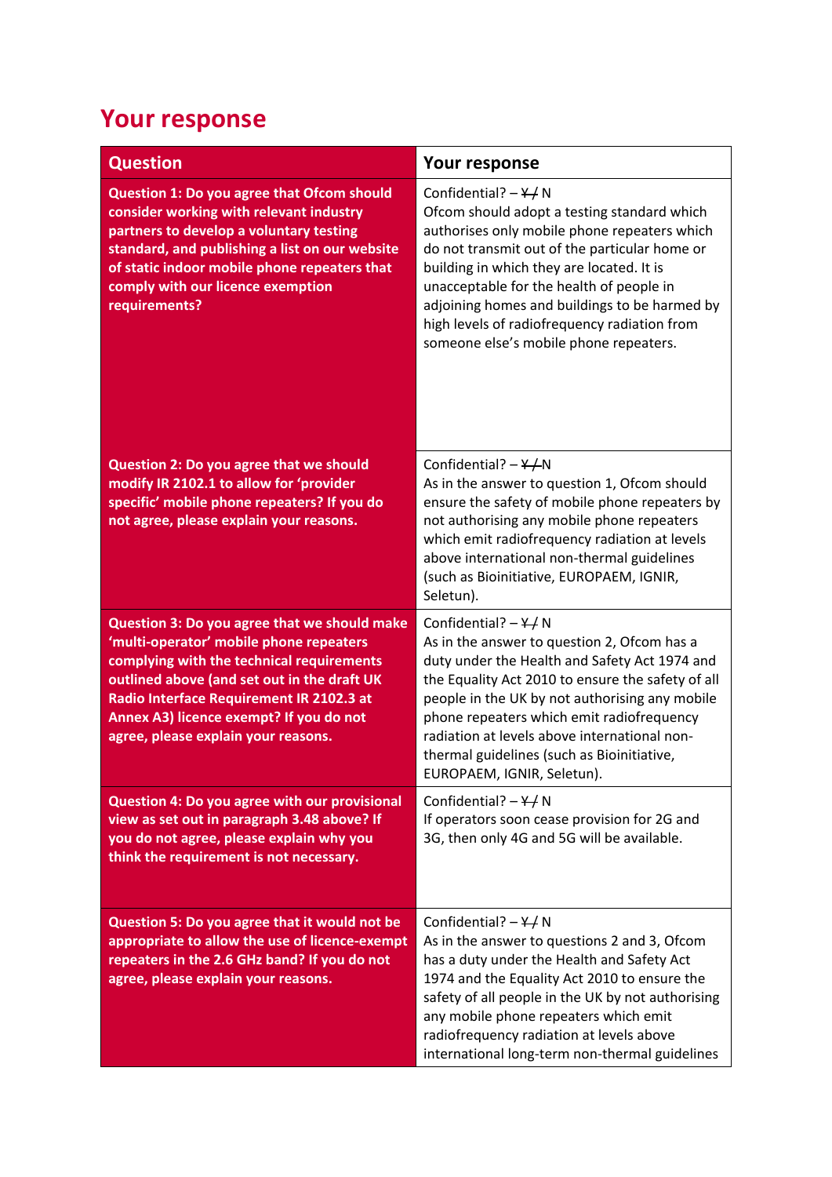## **Your response**

| <b>Question</b>                                                                                                                                                                                                                                                                                                   | Your response                                                                                                                                                                                                                                                                                                                                                                                                     |
|-------------------------------------------------------------------------------------------------------------------------------------------------------------------------------------------------------------------------------------------------------------------------------------------------------------------|-------------------------------------------------------------------------------------------------------------------------------------------------------------------------------------------------------------------------------------------------------------------------------------------------------------------------------------------------------------------------------------------------------------------|
| Question 1: Do you agree that Ofcom should<br>consider working with relevant industry<br>partners to develop a voluntary testing<br>standard, and publishing a list on our website<br>of static indoor mobile phone repeaters that<br>comply with our licence exemption<br>requirements?                          | Confidential? $-\frac{Y}{I}N$<br>Ofcom should adopt a testing standard which<br>authorises only mobile phone repeaters which<br>do not transmit out of the particular home or<br>building in which they are located. It is<br>unacceptable for the health of people in<br>adjoining homes and buildings to be harmed by<br>high levels of radiofrequency radiation from<br>someone else's mobile phone repeaters. |
| <b>Question 2: Do you agree that we should</b><br>modify IR 2102.1 to allow for 'provider<br>specific' mobile phone repeaters? If you do<br>not agree, please explain your reasons.                                                                                                                               | Confidential? $-\frac{Y}{N}N$<br>As in the answer to question 1, Ofcom should<br>ensure the safety of mobile phone repeaters by<br>not authorising any mobile phone repeaters<br>which emit radiofrequency radiation at levels<br>above international non-thermal guidelines<br>(such as Bioinitiative, EUROPAEM, IGNIR,<br>Seletun).                                                                             |
| Question 3: Do you agree that we should make<br>'multi-operator' mobile phone repeaters<br>complying with the technical requirements<br>outlined above (and set out in the draft UK<br>Radio Interface Requirement IR 2102.3 at<br>Annex A3) licence exempt? If you do not<br>agree, please explain your reasons. | Confidential? $-\frac{Y}{I}N$<br>As in the answer to question 2, Ofcom has a<br>duty under the Health and Safety Act 1974 and<br>the Equality Act 2010 to ensure the safety of all<br>people in the UK by not authorising any mobile<br>phone repeaters which emit radiofrequency<br>radiation at levels above international non-<br>thermal guidelines (such as Bioinitiative,<br>EUROPAEM, IGNIR, Seletun).     |
| Question 4: Do you agree with our provisional<br>view as set out in paragraph 3.48 above? If<br>you do not agree, please explain why you<br>think the requirement is not necessary.                                                                                                                               | Confidential? $-\frac{Y}{I}N$<br>If operators soon cease provision for 2G and<br>3G, then only 4G and 5G will be available.                                                                                                                                                                                                                                                                                       |
| Question 5: Do you agree that it would not be<br>appropriate to allow the use of licence-exempt<br>repeaters in the 2.6 GHz band? If you do not<br>agree, please explain your reasons.                                                                                                                            | Confidential? $-\frac{\gamma}{\gamma}N$<br>As in the answer to questions 2 and 3, Ofcom<br>has a duty under the Health and Safety Act<br>1974 and the Equality Act 2010 to ensure the<br>safety of all people in the UK by not authorising<br>any mobile phone repeaters which emit<br>radiofrequency radiation at levels above<br>international long-term non-thermal guidelines                                 |